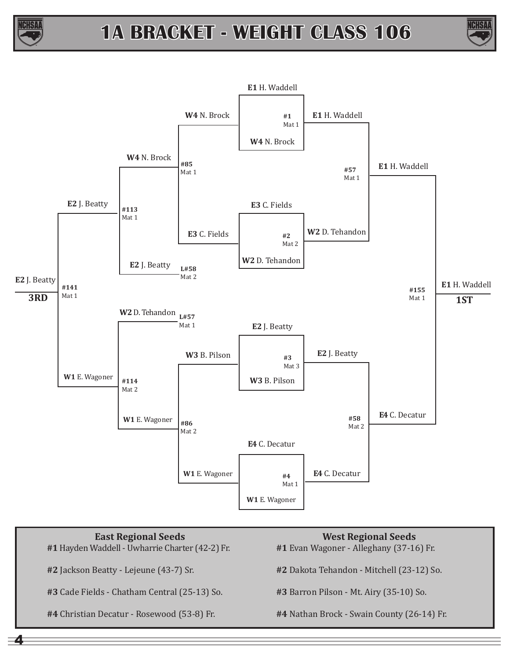





| <b>East Regional Seeds</b><br>#1 Hayden Waddell - Uwharrie Charter (42-2) Fr. | <b>West Regional Seeds</b><br>#1 Evan Wagoner - Alleghany (37-16) Fr. |
|-------------------------------------------------------------------------------|-----------------------------------------------------------------------|
| #2 Jackson Beatty - Lejeune (43-7) Sr.                                        | #2 Dakota Tehandon - Mitchell (23-12) So.                             |
| #3 Cade Fields - Chatham Central (25-13) So.                                  | #3 Barron Pilson - Mt. Airy (35-10) So.                               |
| #4 Christian Decatur - Rosewood (53-8) Fr.                                    | #4 Nathan Brock - Swain County (26-14) Fr.                            |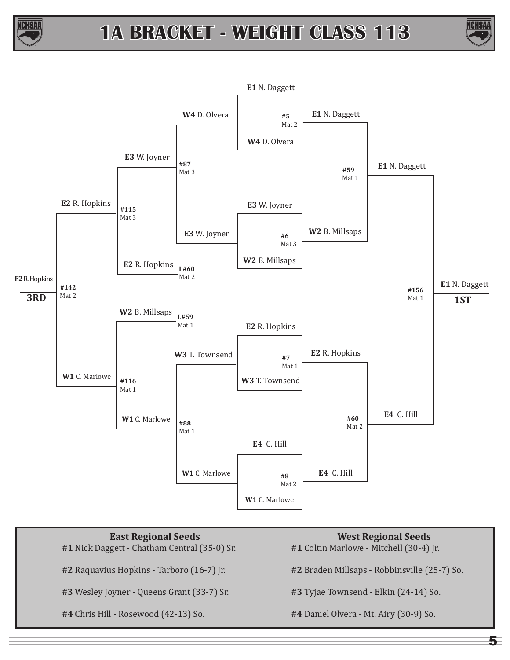





**East Regional Seeds #1** Nick Daggett - Chatham Central (35-0) Sr. **#2** Raquavius Hopkins - Tarboro (16-7) Jr. **#3** Wesley Joyner - Queens Grant (33-7) Sr. **#4** Chris Hill - Rosewood (42-13) So. **West Regional Seeds #1** Coltin Marlowe - Mitchell (30-4) Jr. **#2** Braden Millsaps - Robbinsville (25-7) So. **#3** Tyjae Townsend - Elkin (24-14) So. **#4** Daniel Olvera - Mt. Airy (30-9) So.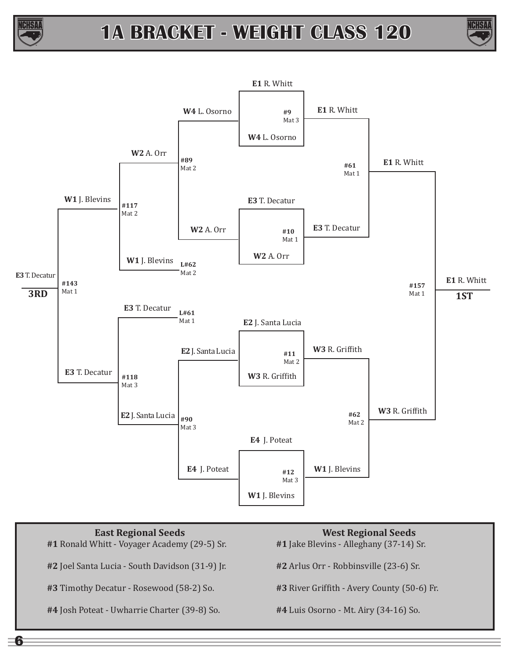





**#1** Ronald Whitt - Voyager Academy (29-5) Sr.

**#2** Joel Santa Lucia - South Davidson (31-9) Jr.

**#3** Timothy Decatur - Rosewood (58-2) So.

**#4** Josh Poteat - Uwharrie Charter (39-8) So.

**West Regional Seeds #1** Jake Blevins - Alleghany (37-14) Sr.

**#2** Arlus Orr - Robbinsville (23-6) Sr.

**#3** River Griffith - Avery County (50-6) Fr.

**#4** Luis Osorno - Mt. Airy (34-16) So.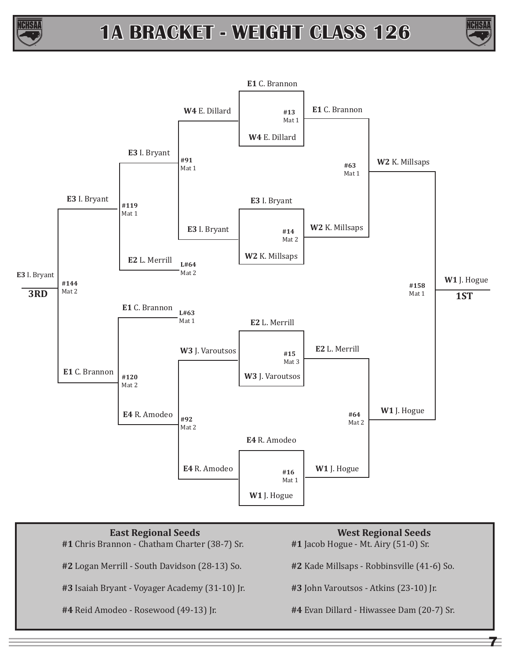





**#1** Chris Brannon - Chatham Charter (38-7) Sr.

**#2** Logan Merrill - South Davidson (28-13) So.

**#3** Isaiah Bryant - Voyager Academy (31-10) Jr.

**#4** Reid Amodeo - Rosewood (49-13) Jr.

**West Regional Seeds**

**#1** Jacob Hogue - Mt. Airy (51-0) Sr.

**#2** Kade Millsaps - Robbinsville (41-6) So.

**#3** John Varoutsos - Atkins (23-10) Jr.

**#4** Evan Dillard - Hiwassee Dam (20-7) Sr.

 $\tau$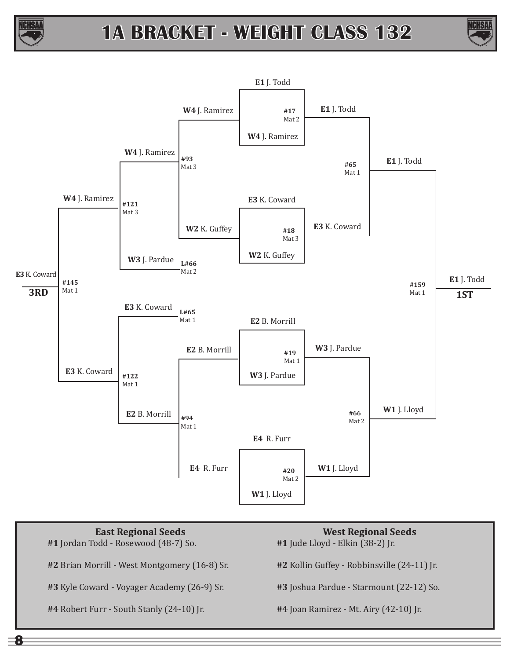





**#1** Jordan Todd - Rosewood (48-7) So.

**#2** Brian Morrill - West Montgomery (16-8) Sr.

**#3** Kyle Coward - Voyager Academy (26-9) Sr.

**#4** Robert Furr - South Stanly (24-10) Jr.

**West Regional Seeds #1** Jude Lloyd - Elkin (38-2) Jr.

**#2** Kollin Guffey - Robbinsville (24-11) Jr.

**#3** Joshua Pardue - Starmount (22-12) So.

**#4** Joan Ramirez - Mt. Airy (42-10) Jr.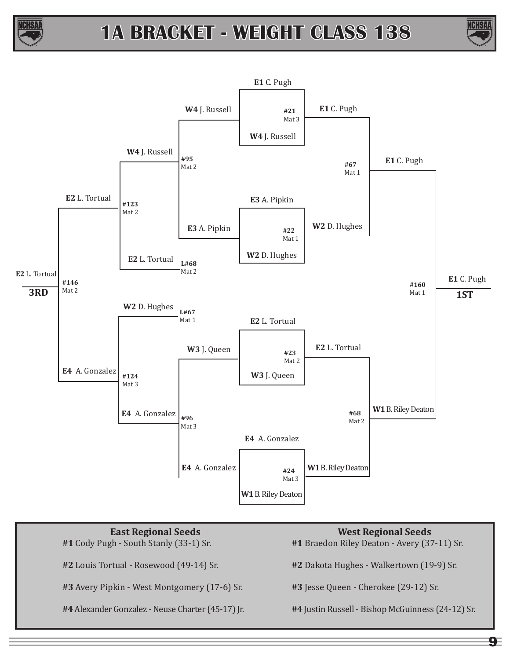





**#1** Cody Pugh - South Stanly (33-1) Sr.

**#2** Louis Tortual - Rosewood (49-14) Sr.

**#3** Avery Pipkin - West Montgomery (17-6) Sr.

**#4** Alexander Gonzalez - Neuse Charter (45-17) Jr.

**West Regional Seeds #1** Braedon Riley Deaton - Avery (37-11) Sr.

**#2** Dakota Hughes - Walkertown (19-9) Sr.

**#3** Jesse Queen - Cherokee (29-12) Sr.

**#4** Justin Russell - Bishop McGuinness (24-12) Sr.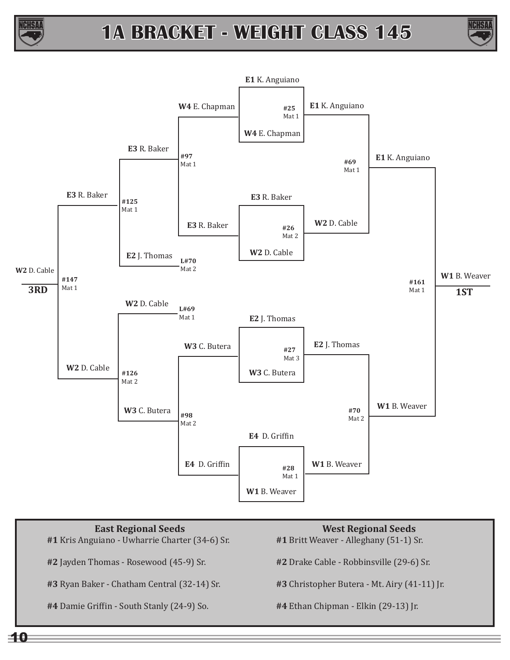





**East Regional Seeds #1** Kris Anguiano - Uwharrie Charter (34-6) Sr. **#2** Jayden Thomas - Rosewood (45-9) Sr. **West Regional Seeds #1** Britt Weaver - Alleghany (51-1) Sr. **#2** Drake Cable - Robbinsville (29-6) Sr. **#3** Christopher Butera - Mt. Airy (41-11) Jr.

**#3** Ryan Baker - Chatham Central (32-14) Sr.

**#4** Damie Griffin - South Stanly (24-9) So.

**#4** Ethan Chipman - Elkin (29-13) Jr.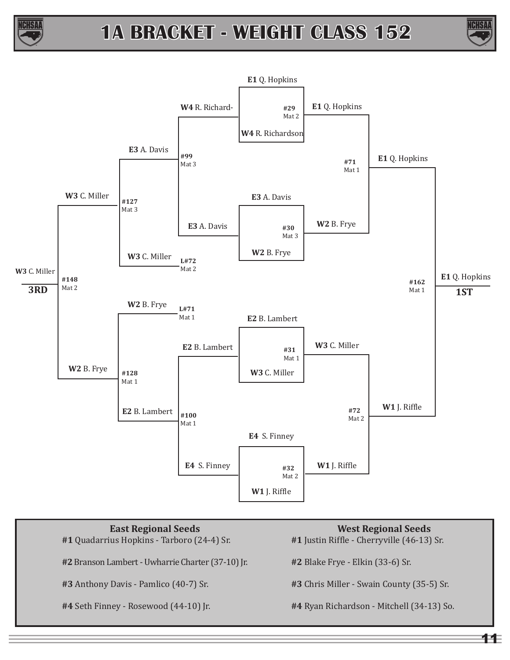





**#1** Quadarrius Hopkins - Tarboro (24-4) Sr.

**#2** Branson Lambert - Uwharrie Charter (37-10) Jr.

**#3** Anthony Davis - Pamlico (40-7) Sr.

**#4** Seth Finney - Rosewood (44-10) Jr.

- **West Regional Seeds**
- **#1** Justin Riffle Cherryville (46-13) Sr.

**#2** Blake Frye - Elkin (33-6) Sr.

**#3** Chris Miller - Swain County (35-5) Sr.

**#4** Ryan Richardson - Mitchell (34-13) So.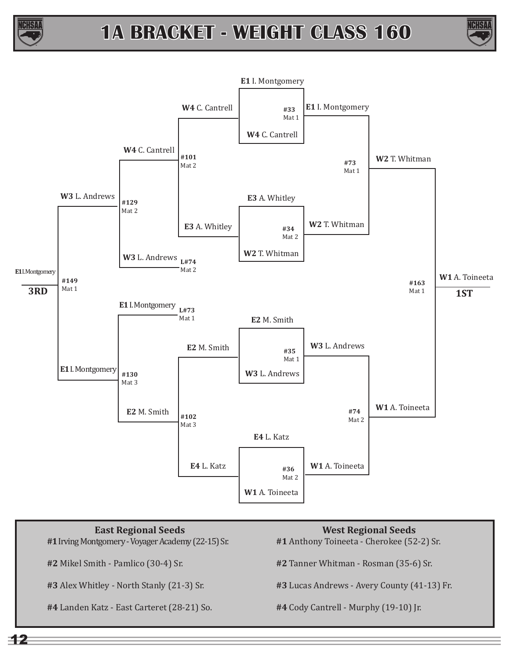





**East Regional Seeds #1** Irving Montgomery - Voyager Academy (22-15) Sr. **#2** Mikel Smith - Pamlico (30-4) Sr.

**#3** Alex Whitley - North Stanly (21-3) Sr.

**#4** Landen Katz - East Carteret (28-21) So.

**West Regional Seeds #1** Anthony Toineeta - Cherokee (52-2) Sr.

**#2** Tanner Whitman - Rosman (35-6) Sr.

**#3** Lucas Andrews - Avery County (41-13) Fr.

**#4** Cody Cantrell - Murphy (19-10) Jr.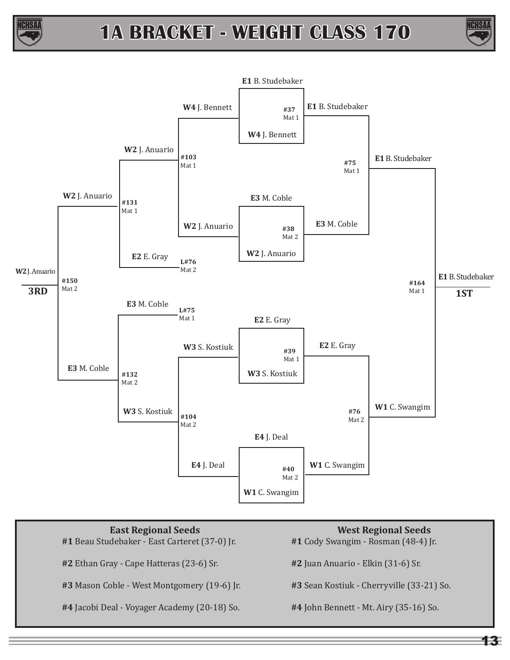





- **#1** Beau Studebaker East Carteret (37-0) Jr.
- **#2** Ethan Gray Cape Hatteras (23-6) Sr.
- **#3** Mason Coble West Montgomery (19-6) Jr.
- **#4** Jacobi Deal Voyager Academy (20-18) So.
- **West Regional Seeds**
- **#1** Cody Swangim Rosman (48-4) Jr.
- **#2** Juan Anuario Elkin (31-6) Sr.
- **#3** Sean Kostiuk Cherryville (33-21) So.
- **#4** John Bennett Mt. Airy (35-16) So.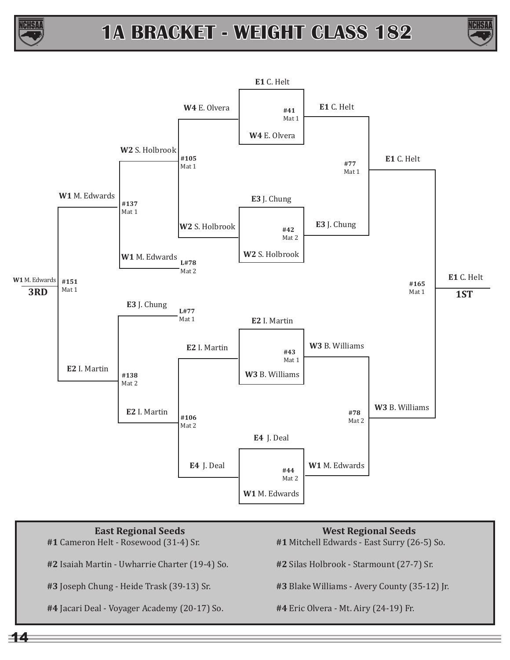





**#1** Cameron Helt - Rosewood (31-4) Sr.

**#2** Isaiah Martin - Uwharrie Charter (19-4) So.

**#3** Joseph Chung - Heide Trask (39-13) Sr.

**#4** Jacari Deal - Voyager Academy (20-17) So.

**West Regional Seeds**

**#1** Mitchell Edwards - East Surry (26-5) So.

**#2** Silas Holbrook - Starmount (27-7) Sr.

**#3** Blake Williams - Avery County (35-12) Jr.

**#4** Eric Olvera - Mt. Airy (24-19) Fr.

 $14 -$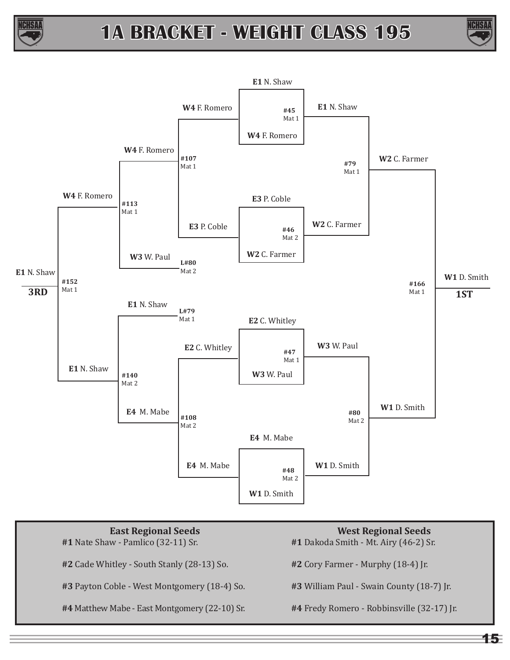





**#1** Nate Shaw - Pamlico (32-11) Sr.

**#2** Cade Whitley - South Stanly (28-13) So.

**#3** Payton Coble - West Montgomery (18-4) So.

**#4** Matthew Mabe - East Montgomery (22-10) Sr.

**West Regional Seeds**

**#1** Dakoda Smith - Mt. Airy (46-2) Sr.

**#2** Cory Farmer - Murphy (18-4) Jr.

**#3** William Paul - Swain County (18-7) Jr.

**#4** Fredy Romero - Robbinsville (32-17) Jr.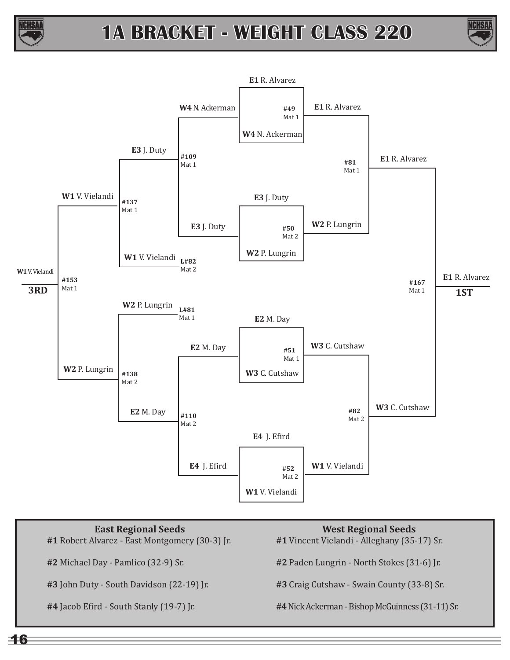

# **1A BRACKET - WEIGHT CLASS 220**





## **East Regional Seeds**

**#1** Robert Alvarez - East Montgomery (30-3) Jr.

**#2** Michael Day - Pamlico (32-9) Sr.

**#3** John Duty - South Davidson (22-19) Jr.

**#4** Jacob Efird - South Stanly (19-7) Jr.

**West Regional Seeds**

**#1** Vincent Vielandi - Alleghany (35-17) Sr.

**#2** Paden Lungrin - North Stokes (31-6) Jr.

**#3** Craig Cutshaw - Swain County (33-8) Sr.

**#4** Nick Ackerman - Bishop McGuinness (31-11) Sr.